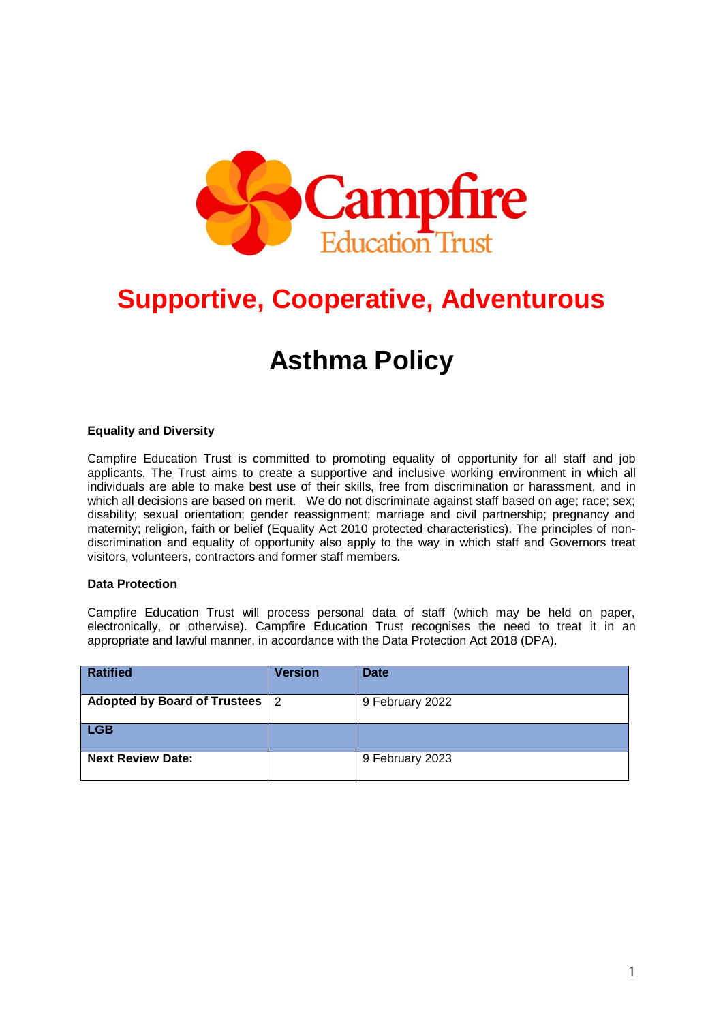

# **Supportive, Cooperative, Adventurous**

# **Asthma Policy**

#### **Equality and Diversity**

Campfire Education Trust is committed to promoting equality of opportunity for all staff and job applicants. The Trust aims to create a supportive and inclusive working environment in which all individuals are able to make best use of their skills, free from discrimination or harassment, and in which all decisions are based on merit. We do not discriminate against staff based on age; race; sex; disability; sexual orientation; gender reassignment; marriage and civil partnership; pregnancy and maternity; religion, faith or belief (Equality Act 2010 protected characteristics). The principles of nondiscrimination and equality of opportunity also apply to the way in which staff and Governors treat visitors, volunteers, contractors and former staff members.

#### **Data Protection**

Campfire Education Trust will process personal data of staff (which may be held on paper, electronically, or otherwise). Campfire Education Trust recognises the need to treat it in an appropriate and lawful manner, in accordance with the Data Protection Act 2018 (DPA).

| <b>Ratified</b>                  | <b>Version</b> | <b>Date</b>     |
|----------------------------------|----------------|-----------------|
| Adopted by Board of Trustees   2 |                | 9 February 2022 |
| <b>LGB</b>                       |                |                 |
| <b>Next Review Date:</b>         |                | 9 February 2023 |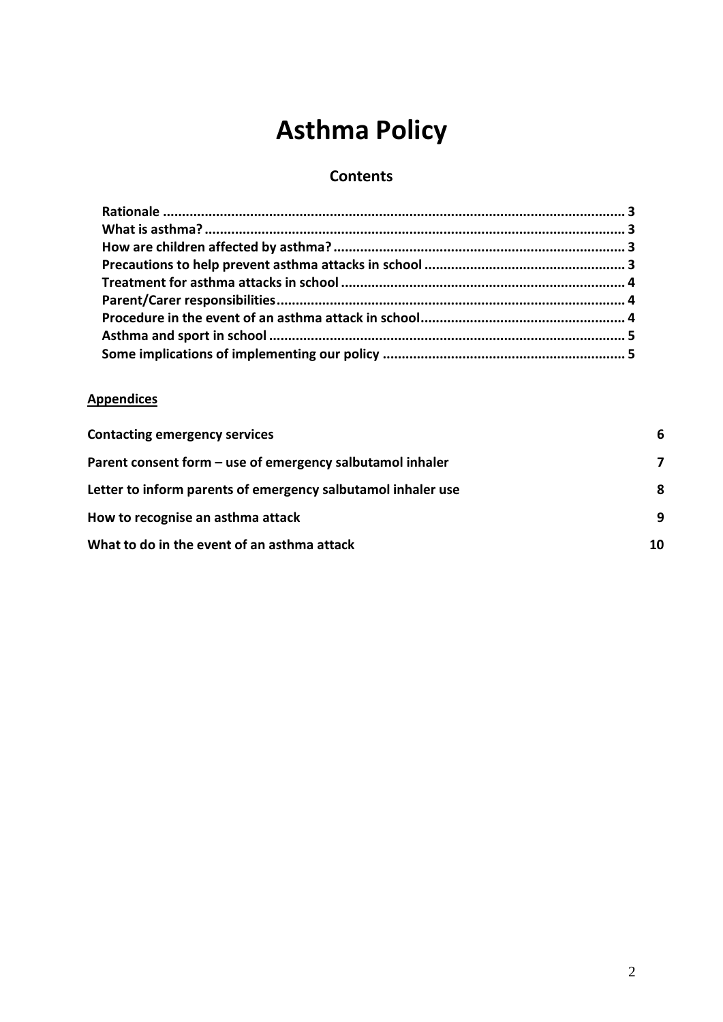# **Asthma Policy**

# **Contents**

## **Appendices**

| <b>Contacting emergency services</b>                         | 6  |
|--------------------------------------------------------------|----|
| Parent consent form – use of emergency salbutamol inhaler    | 7  |
| Letter to inform parents of emergency salbutamol inhaler use | 8  |
| How to recognise an asthma attack                            | 9  |
| What to do in the event of an asthma attack                  | 10 |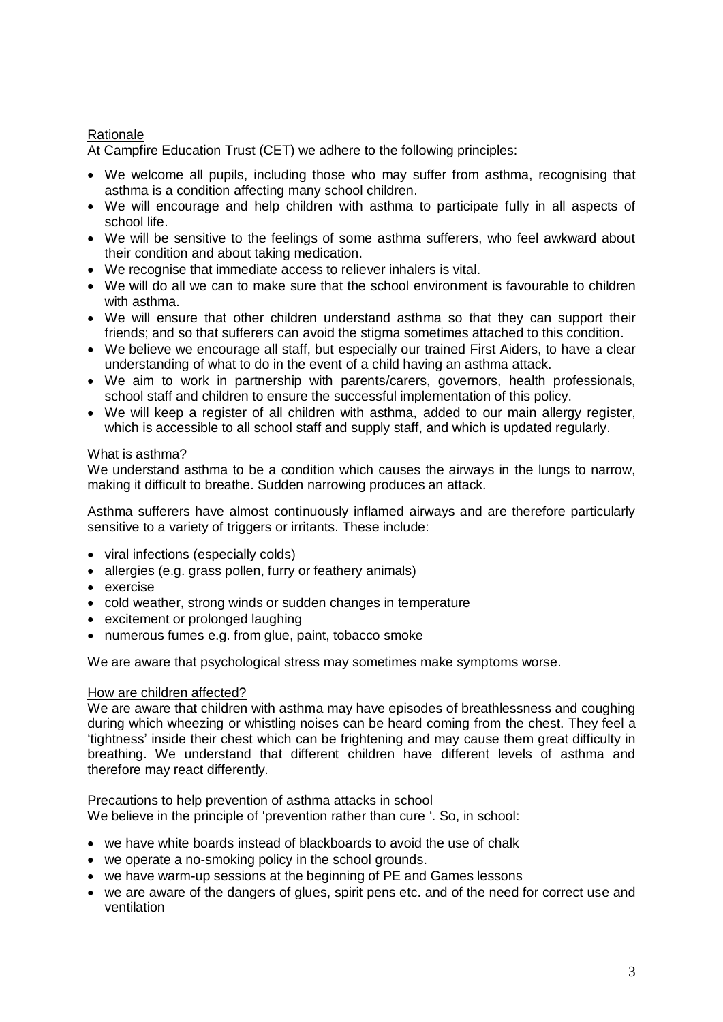### Rationale

At Campfire Education Trust (CET) we adhere to the following principles:

- We welcome all pupils, including those who may suffer from asthma, recognising that asthma is a condition affecting many school children.
- We will encourage and help children with asthma to participate fully in all aspects of school life.
- We will be sensitive to the feelings of some asthma sufferers, who feel awkward about their condition and about taking medication.
- We recognise that immediate access to reliever inhalers is vital.
- We will do all we can to make sure that the school environment is favourable to children with asthma.
- We will ensure that other children understand asthma so that they can support their friends; and so that sufferers can avoid the stigma sometimes attached to this condition.
- We believe we encourage all staff, but especially our trained First Aiders, to have a clear understanding of what to do in the event of a child having an asthma attack.
- We aim to work in partnership with parents/carers, governors, health professionals, school staff and children to ensure the successful implementation of this policy.
- We will keep a register of all children with asthma, added to our main allergy register, which is accessible to all school staff and supply staff, and which is updated regularly.

#### What is asthma?

We understand asthma to be a condition which causes the airways in the lungs to narrow, making it difficult to breathe. Sudden narrowing produces an attack.

Asthma sufferers have almost continuously inflamed airways and are therefore particularly sensitive to a variety of triggers or irritants. These include:

- viral infections (especially colds)
- allergies (e.g. grass pollen, furry or feathery animals)
- exercise
- cold weather, strong winds or sudden changes in temperature
- excitement or prolonged laughing
- numerous fumes e.g. from glue, paint, tobacco smoke

We are aware that psychological stress may sometimes make symptoms worse.

#### How are children affected?

We are aware that children with asthma may have episodes of breathlessness and coughing during which wheezing or whistling noises can be heard coming from the chest. They feel a 'tightness' inside their chest which can be frightening and may cause them great difficulty in breathing. We understand that different children have different levels of asthma and therefore may react differently.

#### Precautions to help prevention of asthma attacks in school We believe in the principle of 'prevention rather than cure '. So, in school:

- we have white boards instead of blackboards to avoid the use of chalk
- we operate a no-smoking policy in the school grounds.
- we have warm-up sessions at the beginning of PE and Games lessons
- we are aware of the dangers of glues, spirit pens etc. and of the need for correct use and ventilation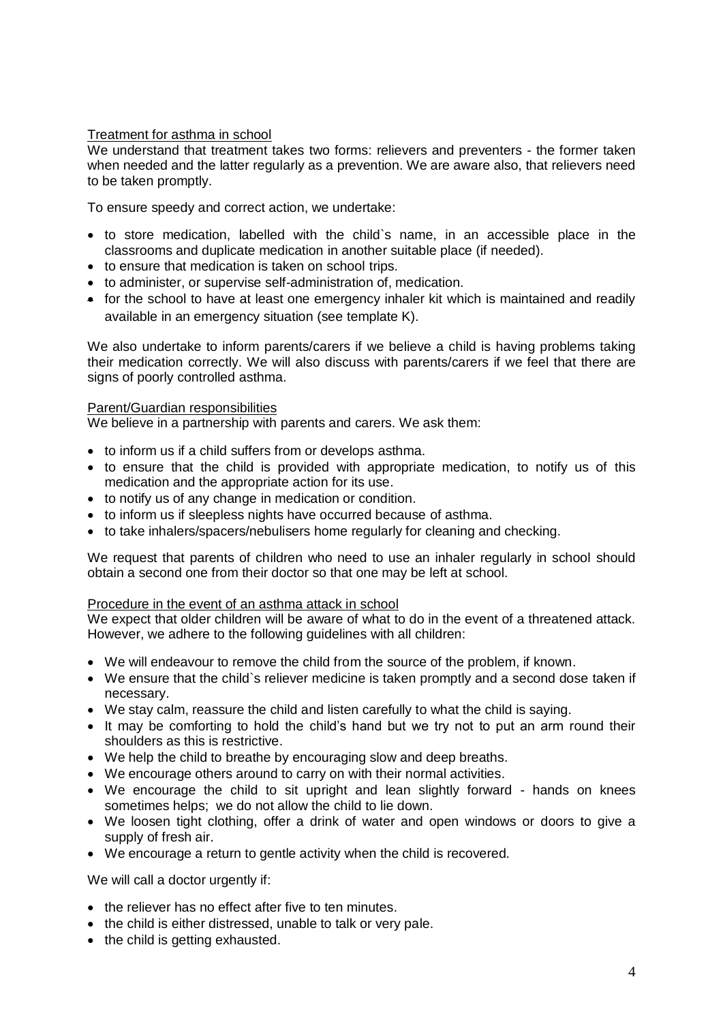#### Treatment for asthma in school

We understand that treatment takes two forms: relievers and preventers - the former taken when needed and the latter regularly as a prevention. We are aware also, that relievers need to be taken promptly.

To ensure speedy and correct action, we undertake:

- to store medication, labelled with the child`s name, in an accessible place in the classrooms and duplicate medication in another suitable place (if needed).
- to ensure that medication is taken on school trips.
- to administer, or supervise self-administration of, medication.
- for the school to have at least one emergency inhaler kit which is maintained and readily available in an emergency situation (see template K).

We also undertake to inform parents/carers if we believe a child is having problems taking their medication correctly. We will also discuss with parents/carers if we feel that there are signs of poorly controlled asthma.

#### Parent/Guardian responsibilities

We believe in a partnership with parents and carers. We ask them:

- to inform us if a child suffers from or develops asthma.
- to ensure that the child is provided with appropriate medication, to notify us of this medication and the appropriate action for its use.
- to notify us of any change in medication or condition.
- to inform us if sleepless nights have occurred because of asthma.
- to take inhalers/spacers/nebulisers home regularly for cleaning and checking.

We request that parents of children who need to use an inhaler regularly in school should obtain a second one from their doctor so that one may be left at school.

#### Procedure in the event of an asthma attack in school

We expect that older children will be aware of what to do in the event of a threatened attack. However, we adhere to the following guidelines with all children:

- We will endeavour to remove the child from the source of the problem, if known.
- We ensure that the child`s reliever medicine is taken promptly and a second dose taken if necessary.
- We stay calm, reassure the child and listen carefully to what the child is saying.
- It may be comforting to hold the child's hand but we try not to put an arm round their shoulders as this is restrictive.
- We help the child to breathe by encouraging slow and deep breaths.
- We encourage others around to carry on with their normal activities.
- We encourage the child to sit upright and lean slightly forward hands on knees sometimes helps; we do not allow the child to lie down.
- We loosen tight clothing, offer a drink of water and open windows or doors to give a supply of fresh air.
- We encourage a return to gentle activity when the child is recovered.

We will call a doctor urgently if:

- the reliever has no effect after five to ten minutes.
- the child is either distressed, unable to talk or very pale.
- the child is getting exhausted.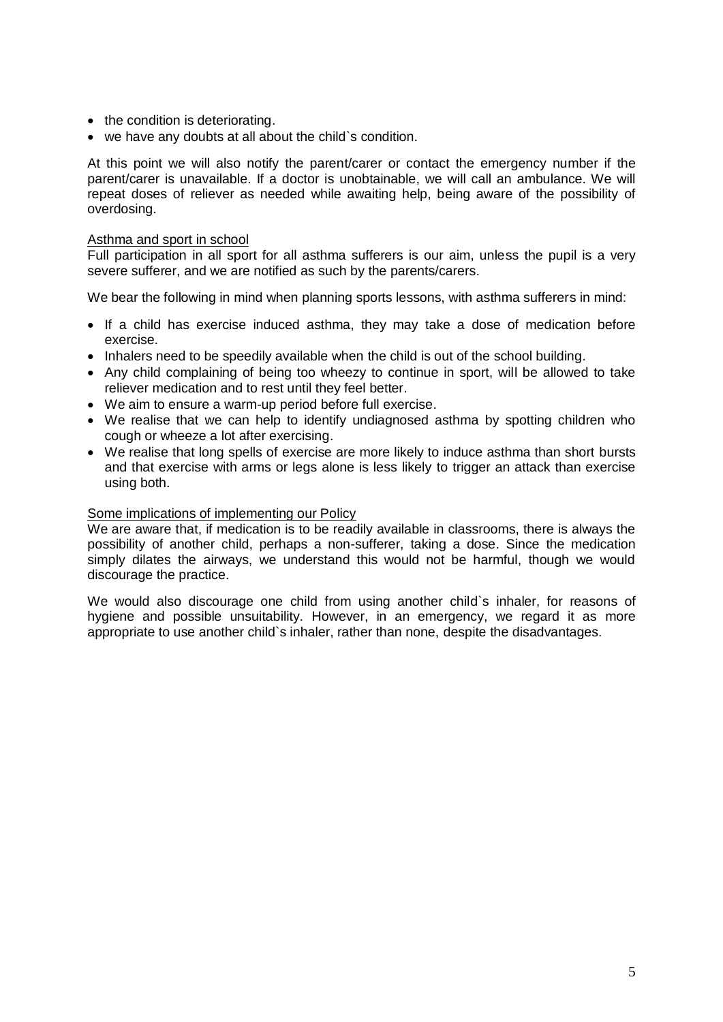- the condition is deteriorating.
- we have any doubts at all about the child`s condition.

At this point we will also notify the parent/carer or contact the emergency number if the parent/carer is unavailable. If a doctor is unobtainable, we will call an ambulance. We will repeat doses of reliever as needed while awaiting help, being aware of the possibility of overdosing.

#### Asthma and sport in school

Full participation in all sport for all asthma sufferers is our aim, unless the pupil is a very severe sufferer, and we are notified as such by the parents/carers.

We bear the following in mind when planning sports lessons, with asthma sufferers in mind:

- If a child has exercise induced asthma, they may take a dose of medication before exercise.
- Inhalers need to be speedily available when the child is out of the school building.
- Any child complaining of being too wheezy to continue in sport, will be allowed to take reliever medication and to rest until they feel better.
- We aim to ensure a warm-up period before full exercise.
- We realise that we can help to identify undiagnosed asthma by spotting children who cough or wheeze a lot after exercising.
- We realise that long spells of exercise are more likely to induce asthma than short bursts and that exercise with arms or legs alone is less likely to trigger an attack than exercise using both.

#### Some implications of implementing our Policy

We are aware that, if medication is to be readily available in classrooms, there is always the possibility of another child, perhaps a non-sufferer, taking a dose. Since the medication simply dilates the airways, we understand this would not be harmful, though we would discourage the practice.

We would also discourage one child from using another child`s inhaler, for reasons of hygiene and possible unsuitability. However, in an emergency, we regard it as more appropriate to use another child`s inhaler, rather than none, despite the disadvantages.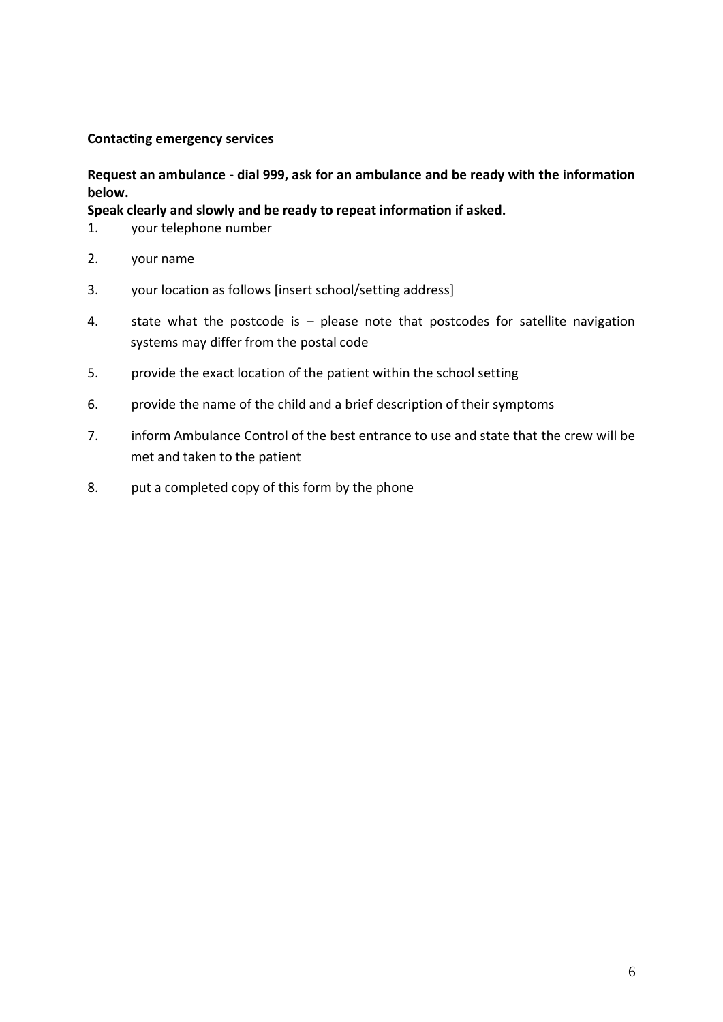### <span id="page-5-0"></span>**Contacting emergency services**

## **Request an ambulance - dial 999, ask for an ambulance and be ready with the information below.**

**Speak clearly and slowly and be ready to repeat information if asked.**

- 1. your telephone number
- 2. your name
- 3. your location as follows [insert school/setting address]
- 4. state what the postcode is please note that postcodes for satellite navigation systems may differ from the postal code
- 5. provide the exact location of the patient within the school setting
- 6. provide the name of the child and a brief description of their symptoms
- 7. inform Ambulance Control of the best entrance to use and state that the crew will be met and taken to the patient
- 8. put a completed copy of this form by the phone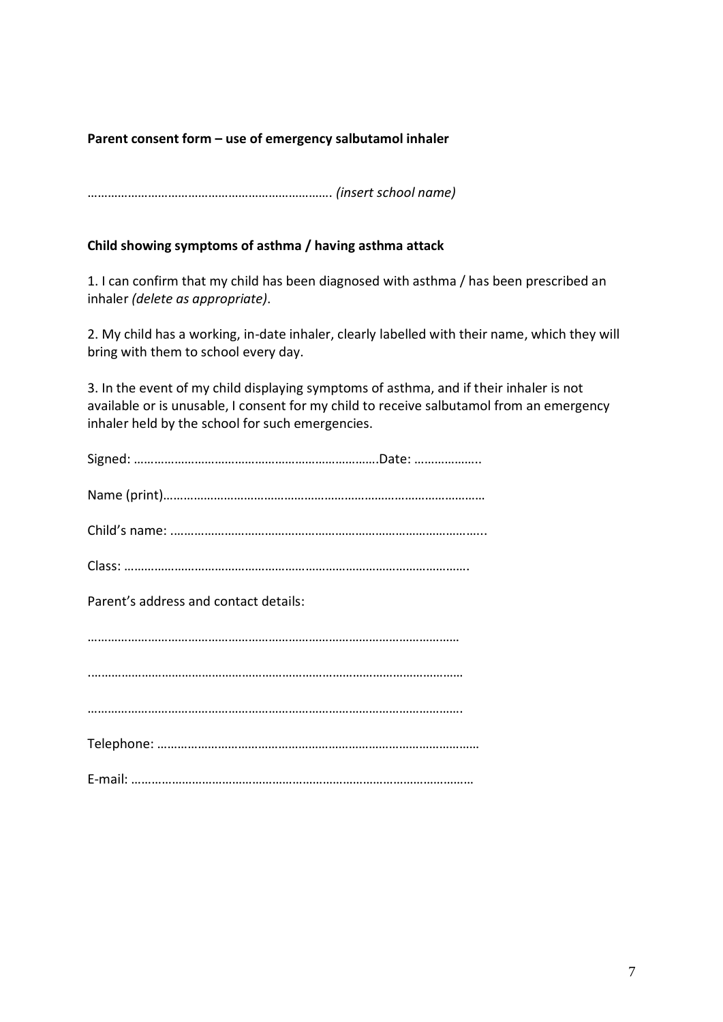## <span id="page-6-0"></span>**Parent consent form – use of emergency salbutamol inhaler**

………………………………………………………………. *(insert school name)*

#### **Child showing symptoms of asthma / having asthma attack**

1. I can confirm that my child has been diagnosed with asthma / has been prescribed an inhaler *(delete as appropriate)*.

2. My child has a working, in-date inhaler, clearly labelled with their name, which they will bring with them to school every day.

3. In the event of my child displaying symptoms of asthma, and if their inhaler is not available or is unusable, I consent for my child to receive salbutamol from an emergency inhaler held by the school for such emergencies.

| Parent's address and contact details: |
|---------------------------------------|
|                                       |
|                                       |
|                                       |
|                                       |
|                                       |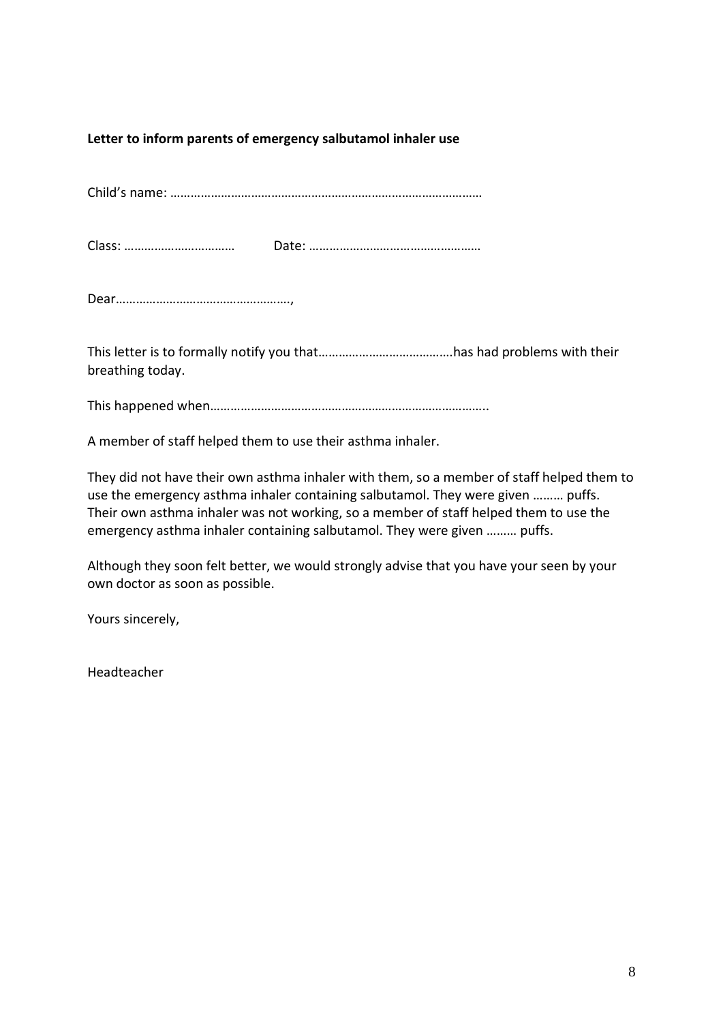### <span id="page-7-0"></span>**Letter to inform parents of emergency salbutamol inhaler use**

Child's name: …………………………………………………………………………………

Class: …………………………… Date: ……………………………………………

Dear…………………………………………….,

This letter is to formally notify you that………………………………….has had problems with their breathing today.

This happened when………………………………………………………………………..

A member of staff helped them to use their asthma inhaler.

They did not have their own asthma inhaler with them, so a member of staff helped them to use the emergency asthma inhaler containing salbutamol. They were given ……… puffs. Their own asthma inhaler was not working, so a member of staff helped them to use the emergency asthma inhaler containing salbutamol. They were given ……… puffs.

Although they soon felt better, we would strongly advise that you have your seen by your own doctor as soon as possible.

Yours sincerely,

Headteacher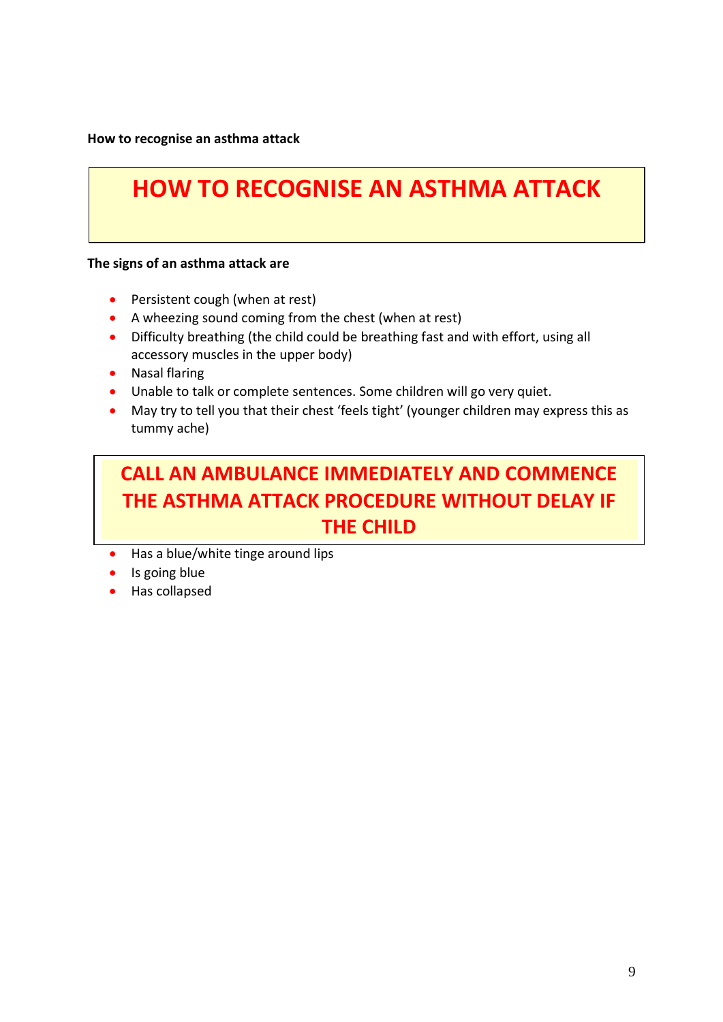<span id="page-8-0"></span>**How to recognise an asthma attack**

# **HOW TO RECOGNISE AN ASTHMA ATTACK**

#### **The signs of an asthma attack are**

- Persistent cough (when at rest)
- A wheezing sound coming from the chest (when at rest)
- Difficulty breathing (the child could be breathing fast and with effort, using all accessory muscles in the upper body)
- Nasal flaring
- Unable to talk or complete sentences. Some children will go very quiet.
- May try to tell you that their chest 'feels tight' (younger children may express this as tummy ache)

# **CALL AN AMBULANCE IMMEDIATELY AND COMMENCE THE ASTHMA ATTACK PROCEDURE WITHOUT DELAY IF THE CHILD**

- Has a blue/white tinge around lips
- Is going blue
- Has collapsed